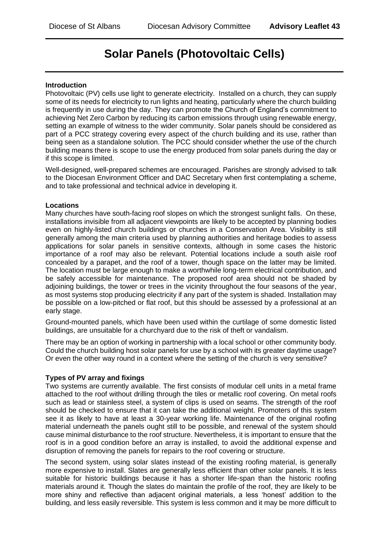# **Solar Panels (Photovoltaic Cells)**

#### **Introduction**

Photovoltaic (PV) cells use light to generate electricity. Installed on a church, they can supply some of its needs for electricity to run lights and heating, particularly where the church building is frequently in use during the day. They can promote the Church of England's commitment to achieving Net Zero Carbon by reducing its carbon emissions through using renewable energy, setting an example of witness to the wider community. Solar panels should be considered as part of a PCC strategy covering every aspect of the church building and its use, rather than being seen as a standalone solution. The PCC should consider whether the use of the church building means there is scope to use the energy produced from solar panels during the day or if this scope is limited.

Well-designed, well-prepared schemes are encouraged. Parishes are strongly advised to talk to the Diocesan Environment Officer and DAC Secretary when first contemplating a scheme, and to take professional and technical advice in developing it.

#### **Locations**

Many churches have south-facing roof slopes on which the strongest sunlight falls. On these, installations invisible from all adjacent viewpoints are likely to be accepted by planning bodies even on highly-listed church buildings or churches in a Conservation Area. Visibility is still generally among the main criteria used by planning authorities and heritage bodies to assess applications for solar panels in sensitive contexts, although in some cases the historic importance of a roof may also be relevant. Potential locations include a south aisle roof concealed by a parapet, and the roof of a tower, though space on the latter may be limited. The location must be large enough to make a worthwhile long-term electrical contribution, and be safely accessible for maintenance. The proposed roof area should not be shaded by adjoining buildings, the tower or trees in the vicinity throughout the four seasons of the year, as most systems stop producing electricity if any part of the system is shaded. Installation may be possible on a low-pitched or flat roof, but this should be assessed by a professional at an early stage.

Ground-mounted panels, which have been used within the curtilage of some domestic listed buildings, are unsuitable for a churchyard due to the risk of theft or vandalism.

There may be an option of working in partnership with a local school or other community body. Could the church building host solar panels for use by a school with its greater daytime usage? Or even the other way round in a context where the setting of the church is very sensitive?

### **Types of PV array and fixings**

Two systems are currently available. The first consists of modular cell units in a metal frame attached to the roof without drilling through the tiles or metallic roof covering. On metal roofs such as lead or stainless steel, a system of clips is used on seams. The strength of the roof should be checked to ensure that it can take the additional weight. Promoters of this system see it as likely to have at least a 30-year working life. Maintenance of the original roofing material underneath the panels ought still to be possible, and renewal of the system should cause minimal disturbance to the roof structure. Nevertheless, it is important to ensure that the roof is in a good condition before an array is installed, to avoid the additional expense and disruption of removing the panels for repairs to the roof covering or structure.

The second system, using solar slates instead of the existing roofing material, is generally more expensive to install. Slates are generally less efficient than other solar panels. It is less suitable for historic buildings because it has a shorter life-span than the historic roofing materials around it. Though the slates do maintain the profile of the roof, they are likely to be more shiny and reflective than adjacent original materials, a less 'honest' addition to the building, and less easily reversible. This system is less common and it may be more difficult to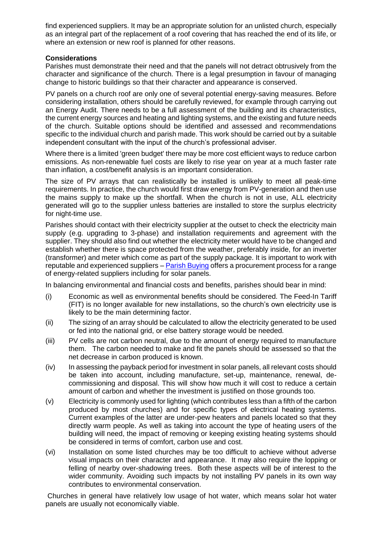find experienced suppliers. It may be an appropriate solution for an unlisted church, especially as an integral part of the replacement of a roof covering that has reached the end of its life, or where an extension or new roof is planned for other reasons.

#### **Considerations**

Parishes must demonstrate their need and that the panels will not detract obtrusively from the character and significance of the church. There is a legal presumption in favour of managing change to historic buildings so that their character and appearance is conserved.

PV panels on a church roof are only one of several potential energy-saving measures. Before considering installation, others should be carefully reviewed, for example through carrying out an Energy Audit. There needs to be a full assessment of the building and its characteristics, the current energy sources and heating and lighting systems, and the existing and future needs of the church. Suitable options should be identified and assessed and recommendations specific to the individual church and parish made. This work should be carried out by a suitable independent consultant with the input of the church's professional adviser.

Where there is a limited 'green budget' there may be more cost efficient ways to reduce carbon emissions. As non-renewable fuel costs are likely to rise year on year at a much faster rate than inflation, a cost/benefit analysis is an important consideration.

The size of PV arrays that can realistically be installed is unlikely to meet all peak-time requirements. In practice, the church would first draw energy from PV-generation and then use the mains supply to make up the shortfall. When the church is not in use, ALL electricity generated will go to the supplier unless batteries are installed to store the surplus electricity for night-time use.

Parishes should contact with their electricity supplier at the outset to check the electricity main supply (e.g. upgrading to 3-phase) and installation requirements and agreement with the supplier. They should also find out whether the electricity meter would have to be changed and establish whether there is space protected from the weather, preferably inside, for an inverter (transformer) and meter which come as part of the supply package. It is important to work with reputable and experienced suppliers – [Parish Buying](https://www.parishbuying.org.uk/) offers a procurement process for a range of energy-related suppliers including for solar panels.

In balancing environmental and financial costs and benefits, parishes should bear in mind:

- (i) Economic as well as environmental benefits should be considered. The Feed-In Tariff (FIT) is no longer available for new installations, so the church's own electricity use is likely to be the main determining factor.
- (ii) The sizing of an array should be calculated to allow the electricity generated to be used or fed into the national grid, or else battery storage would be needed.
- (iii) PV cells are not carbon neutral, due to the amount of energy required to manufacture them. The carbon needed to make and fit the panels should be assessed so that the net decrease in carbon produced is known.
- (iv) In assessing the payback period for investment in solar panels, all relevant costs should be taken into account, including manufacture, set-up, maintenance, renewal, decommissioning and disposal. This will show how much it will cost to reduce a certain amount of carbon and whether the investment is justified on those grounds too.
- (v) Electricity is commonly used for lighting (which contributes less than a fifth of the carbon produced by most churches) and for specific types of electrical heating systems. Current examples of the latter are under-pew heaters and panels located so that they directly warm people. As well as taking into account the type of heating users of the building will need, the impact of removing or keeping existing heating systems should be considered in terms of comfort, carbon use and cost.
- (vi) Installation on some listed churches may be too difficult to achieve without adverse visual impacts on their character and appearance. It may also require the lopping or felling of nearby over-shadowing trees. Both these aspects will be of interest to the wider community. Avoiding such impacts by not installing PV panels in its own way contributes to environmental conservation.

Churches in general have relatively low usage of hot water, which means solar hot water panels are usually not economically viable.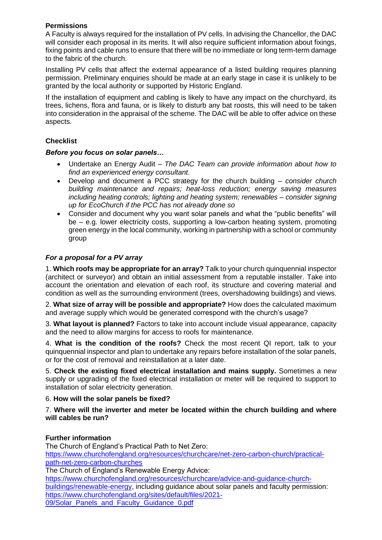## **Permissions**

A Faculty is always required for the installation of PV cells. In advising the Chancellor, the DAC will consider each proposal in its merits. It will also require sufficient information about fixings, fixing points and cable runs to ensure that there will be no immediate or long term-term damage to the fabric of the church.

Installing PV cells that affect the external appearance of a listed building requires planning permission. Preliminary enquiries should be made at an early stage in case it is unlikely to be granted by the local authority or supported by Historic England.

If the installation of equipment and cabling is likely to have any impact on the churchyard, its trees, lichens, flora and fauna, or is likely to disturb any bat roosts, this will need to be taken into consideration in the appraisal of the scheme. The DAC will be able to offer advice on these aspects.

## **Checklist**

### *Before you focus on solar panels…*

- Undertake an Energy Audit *The DAC Team can provide information about how to find an experienced energy consultant.*
- Develop and document a PCC strategy for the church building *consider church building maintenance and repairs; heat-loss reduction; energy saving measures including heating controls; lighting and heating system; renewables – consider signing up for EcoChurch if the PCC has not already done so*
- Consider and document why you want solar panels and what the "public benefits" will be – e.g. lower electricity costs, supporting a low-carbon heating system, promoting green energy in the local community, working in partnership with a school or community group

### *For a proposal for a PV array*

1. **Which roofs may be appropriate for an array?** Talk to your church quinquennial inspector (architect or surveyor) and obtain an initial assessment from a reputable installer. Take into account the orientation and elevation of each roof, its structure and covering material and condition as well as the surrounding environment (trees, overshadowing buildings) and views.

2. **What size of array will be possible and appropriate?** How does the calculated maximum and average supply which would be generated correspond with the church's usage?

3. **What layout is planned?** Factors to take into account include visual appearance, capacity and the need to allow margins for access to roofs for maintenance.

4. **What is the condition of the roofs?** Check the most recent QI report, talk to your quinquennial inspector and plan to undertake any repairs before installation of the solar panels, or for the cost of removal and reinstallation at a later date.

5. **Check the existing fixed electrical installation and mains supply.** Sometimes a new supply or upgrading of the fixed electrical installation or meter will be required to support to installation of solar electricity generation.

### 6. **How will the solar panels be fixed?**

#### 7. **Where will the inverter and meter be located within the church building and where will cables be run?**

### **Further information**

The Church of England's Practical Path to Net Zero: [https://www.churchofengland.org/resources/churchcare/net-zero-carbon-church/practical](https://www.churchofengland.org/resources/churchcare/net-zero-carbon-church/practical-path-net-zero-carbon-churches)[path-net-zero-carbon-churches](https://www.churchofengland.org/resources/churchcare/net-zero-carbon-church/practical-path-net-zero-carbon-churches) The Church of England's Renewable Energy Advice: [https://www.churchofengland.org/resources/churchcare/advice-and-guidance-church](https://www.churchofengland.org/resources/churchcare/advice-and-guidance-church-buildings/renewable-energy)[buildings/renewable-energy,](https://www.churchofengland.org/resources/churchcare/advice-and-guidance-church-buildings/renewable-energy) including guidance about solar panels and faculty permission: [https://www.churchofengland.org/sites/default/files/2021-](https://www.churchofengland.org/sites/default/files/2021-09/Solar_Panels_and_Faculty_Guidance_0.pdf) [09/Solar\\_Panels\\_and\\_Faculty\\_Guidance\\_0.pdf](https://www.churchofengland.org/sites/default/files/2021-09/Solar_Panels_and_Faculty_Guidance_0.pdf)